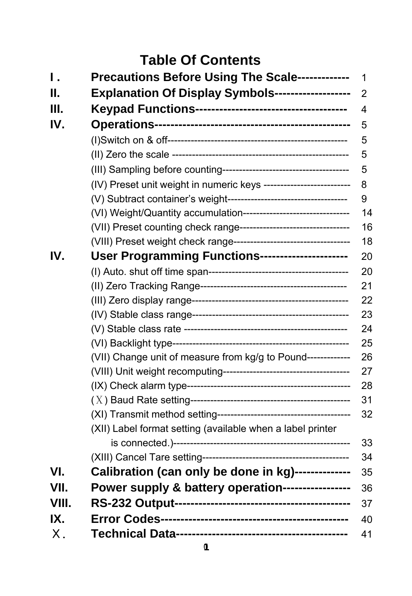# **Table Of Contents**

| Ι.    | Precautions Before Using The Scale-------------                     | 1              |
|-------|---------------------------------------------------------------------|----------------|
| Н.    | Explanation Of Display Symbols------------------                    | 2              |
| Ш.    |                                                                     | $\overline{4}$ |
| IV.   |                                                                     | 5              |
|       |                                                                     | 5              |
|       |                                                                     | 5              |
|       |                                                                     | 5              |
|       | (IV) Preset unit weight in numeric keys --------------------------  | 8              |
|       |                                                                     | 9              |
|       | (VI) Weight/Quantity accumulation--------------------------------   | 14             |
|       | (VII) Preset counting check range---------------------------------  | 16             |
|       | (VIII) Preset weight check range----------------------------------- | 18             |
| IV.   | User Programming Functions---------------------                     | 20             |
|       |                                                                     | 20             |
|       |                                                                     | 21             |
|       |                                                                     | 22             |
|       |                                                                     | 23             |
|       |                                                                     | 24             |
|       |                                                                     | 25             |
|       | (VII) Change unit of measure from kg/g to Pound-------------        | 26             |
|       |                                                                     | 27             |
|       |                                                                     | 28             |
|       |                                                                     | 31             |
|       |                                                                     | 32             |
|       | (XII) Label format setting (available when a label printer          |                |
|       |                                                                     | 33             |
|       |                                                                     | 34             |
| VI.   | Calibration (can only be done in kg)-------------                   | 35             |
| VII.  | Power supply & battery operation----------------                    | 36             |
| VIII. |                                                                     | 37             |
| IX.   |                                                                     | 40             |
| Χ.    |                                                                     | 41             |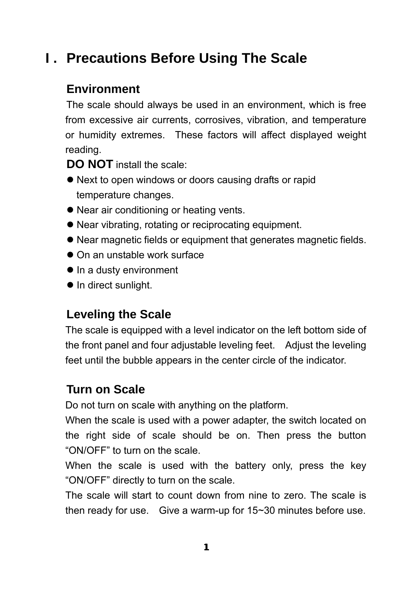# **I . Precautions Before Using The Scale**

### **Environment**

The scale should always be used in an environment, which is free from excessive air currents, corrosives, vibration, and temperature or humidity extremes. These factors will affect displayed weight reading.

**DO NOT** install the scale:

- Next to open windows or doors causing drafts or rapid temperature changes.
- Near air conditioning or heating vents.
- Near vibrating, rotating or reciprocating equipment.
- Near magnetic fields or equipment that generates magnetic fields.
- $\bullet$  On an unstable work surface
- $\bullet$  In a dusty environment
- $\bullet$  In direct sunlight.

## **Leveling the Scale**

The scale is equipped with a level indicator on the left bottom side of the front panel and four adjustable leveling feet. Adjust the leveling feet until the bubble appears in the center circle of the indicator.

### **Turn on Scale**

Do not turn on scale with anything on the platform.

When the scale is used with a power adapter, the switch located on the right side of scale should be on. Then press the button "ON/OFF" to turn on the scale.

When the scale is used with the battery only, press the key "ON/OFF" directly to turn on the scale.

The scale will start to count down from nine to zero. The scale is then ready for use. Give a warm-up for 15~30 minutes before use.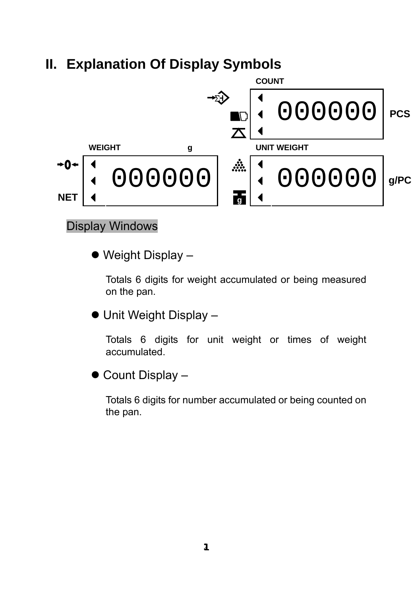# **II. Explanation Of Display Symbols**



#### Display Windows

 $\bullet$  Weight Display –

Totals 6 digits for weight accumulated or being measured on the pan.

• Unit Weight Display –

Totals 6 digits for unit weight or times of weight accumulated.

 $\bullet$  Count Display –

Totals 6 digits for number accumulated or being counted on the pan.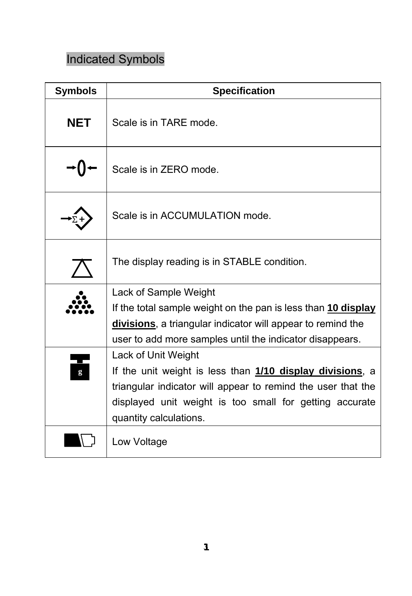# Indicated Symbols

| <b>Symbols</b> | <b>Specification</b>                                                                                                                                                                                                                  |
|----------------|---------------------------------------------------------------------------------------------------------------------------------------------------------------------------------------------------------------------------------------|
| <b>NET</b>     | Scale is in TARE mode.                                                                                                                                                                                                                |
|                | Scale is in ZERO mode.                                                                                                                                                                                                                |
|                | Scale is in ACCUMULATION mode.                                                                                                                                                                                                        |
|                | The display reading is in STABLE condition.                                                                                                                                                                                           |
|                | Lack of Sample Weight<br>If the total sample weight on the pan is less than 10 display<br>divisions, a triangular indicator will appear to remind the<br>user to add more samples until the indicator disappears.                     |
| g              | Lack of Unit Weight<br>If the unit weight is less than 1/10 display divisions, a<br>triangular indicator will appear to remind the user that the<br>displayed unit weight is too small for getting accurate<br>quantity calculations. |
|                | Low Voltage                                                                                                                                                                                                                           |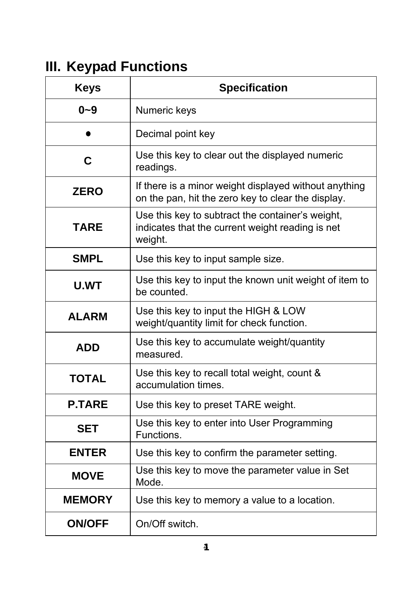# **III. Keypad Functions**

| <b>Keys</b>                                                                                                             | <b>Specification</b>                                                                                        |  |  |
|-------------------------------------------------------------------------------------------------------------------------|-------------------------------------------------------------------------------------------------------------|--|--|
| $0 - 9$                                                                                                                 | Numeric keys                                                                                                |  |  |
|                                                                                                                         | Decimal point key                                                                                           |  |  |
| C                                                                                                                       | Use this key to clear out the displayed numeric<br>readings.                                                |  |  |
| <b>ZERO</b>                                                                                                             | If there is a minor weight displayed without anything<br>on the pan, hit the zero key to clear the display. |  |  |
| Use this key to subtract the container's weight,<br>TARE<br>indicates that the current weight reading is net<br>weight. |                                                                                                             |  |  |
| <b>SMPL</b>                                                                                                             | Use this key to input sample size.                                                                          |  |  |
| Use this key to input the known unit weight of item to<br><b>U.WT</b><br>be counted.                                    |                                                                                                             |  |  |
| <b>ALARM</b>                                                                                                            | Use this key to input the HIGH & LOW<br>weight/quantity limit for check function.                           |  |  |
| <b>ADD</b>                                                                                                              | Use this key to accumulate weight/quantity<br>measured.                                                     |  |  |
| <b>TOTAL</b>                                                                                                            | Use this key to recall total weight, count &<br>accumulation times.                                         |  |  |
| <b>P.TARE</b>                                                                                                           | Use this key to preset TARE weight.                                                                         |  |  |
| <b>SET</b>                                                                                                              | Use this key to enter into User Programming<br>Functions.                                                   |  |  |
| <b>ENTER</b>                                                                                                            | Use this key to confirm the parameter setting.                                                              |  |  |
| <b>MOVE</b>                                                                                                             | Use this key to move the parameter value in Set<br>Mode.                                                    |  |  |
| <b>MEMORY</b>                                                                                                           | Use this key to memory a value to a location.                                                               |  |  |
| <b>ON/OFF</b>                                                                                                           | On/Off switch.                                                                                              |  |  |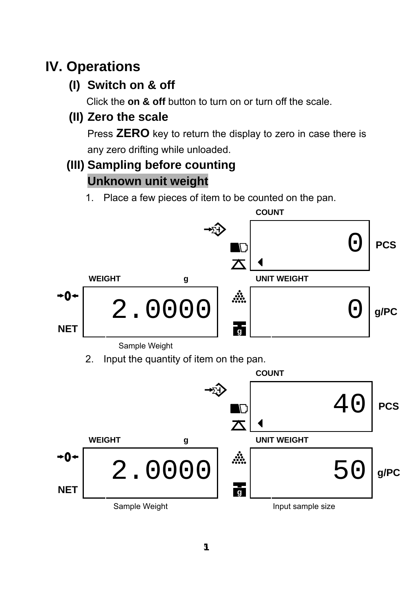# **IV. Operations**

**(I) Switch on & off** 

Click the **on & off** button to turn on or turn off the scale.

## **(II) Zero the scale**

Press **ZERO** key to return the display to zero in case there is any zero drifting while unloaded.

## **(III) Sampling before counting Unknown unit weight**

1. Place a few pieces of item to be counted on the pan.

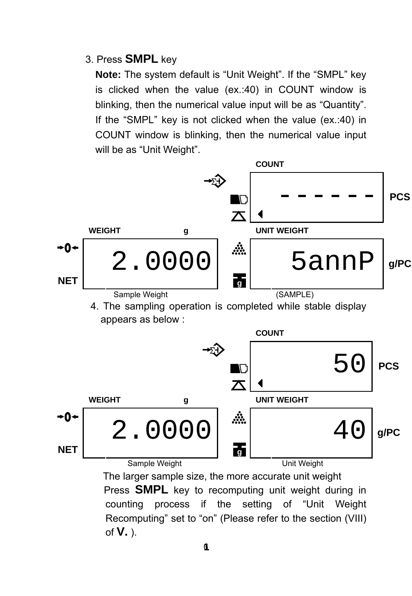#### 3. Press **SMPL** key

**Note:** The system default is "Unit Weight". If the "SMPL" key is clicked when the value (ex.:40) in COUNT window is blinking, then the numerical value input will be as "Quantity". If the "SMPL" key is not clicked when the value (ex.:40) in COUNT window is blinking, then the numerical value input will be as "Unit Weight".



counting process if the setting of "Unit Weight Recomputing" set to "on" (Please refer to the section (VIII) of **V.** ).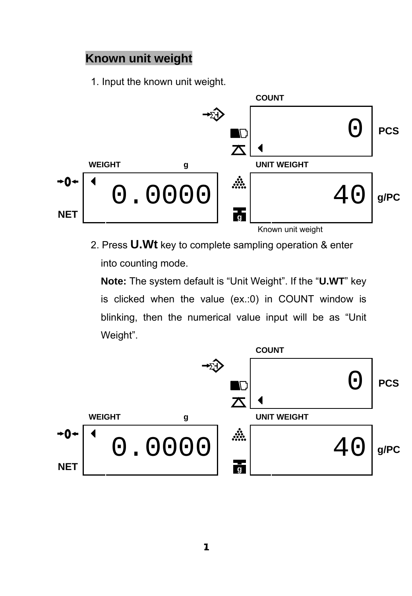#### **Known unit weight**

1. Input the known unit weight.



2. Press **U.Wt** key to complete sampling operation & enter into counting mode.

**Note:** The system default is "Unit Weight". If the "**U.WT**" key is clicked when the value (ex.:0) in COUNT window is blinking, then the numerical value input will be as "Unit Weight".

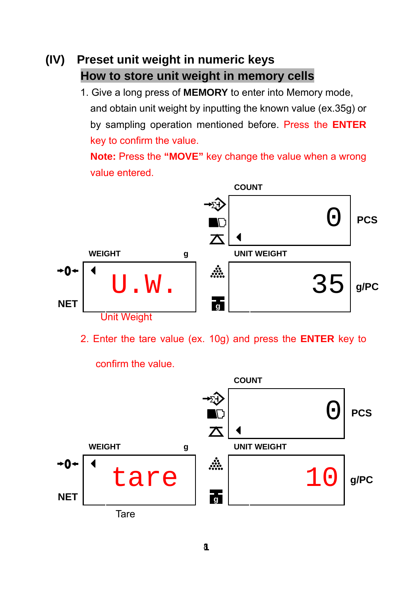## **(IV) Preset unit weight in numeric keys How to store unit weight in memory cells**

1. Give a long press of **MEMORY** to enter into Memory mode, and obtain unit weight by inputting the known value (ex.35g) or by sampling operation mentioned before. Press the **ENTER**  key to confirm the value.

**Note:** Press the **"MOVE"** key change the value when a wrong value entered.



2. Enter the tare value (ex. 10g) and press the **ENTER** key to

confirm the value.

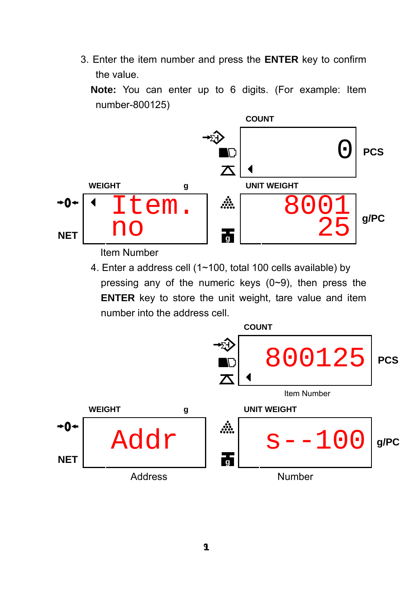3. Enter the item number and press the **ENTER** key to confirm the value.

 **Note:** You can enter up to 6 digits. (For example: Item number-800125)



Item Number

4. Enter a address cell (1~100, total 100 cells available) by pressing any of the numeric keys (0~9), then press the **ENTER** key to store the unit weight, tare value and item number into the address cell.

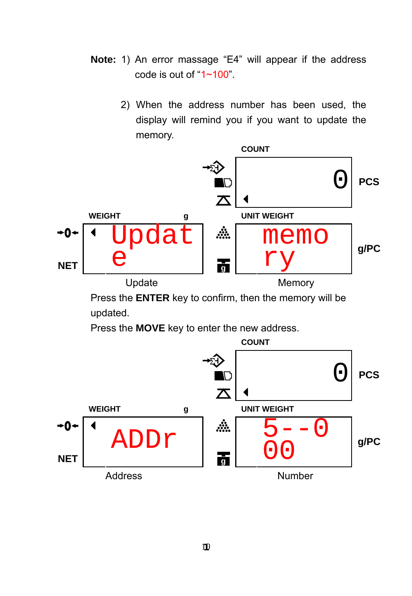- **Note:** 1) An error massage "E4" will appear if the address code is out of "1~100".
	- 2) When the address number has been used, the display will remind you if you want to update the memory.



Press the **ENTER** key to confirm, then the memory will be updated.

Press the **MOVE** key to enter the new address.

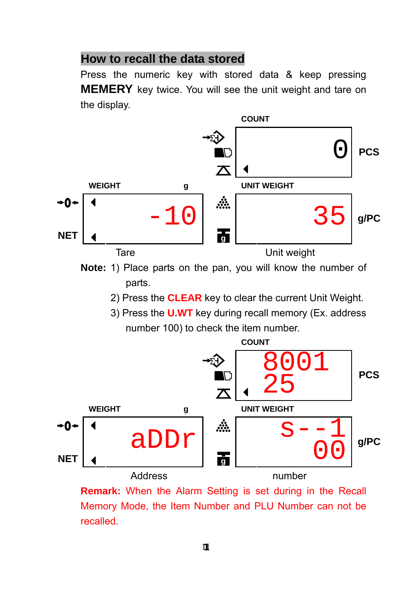#### **How to recall the data stored**

Press the numeric key with stored data & keep pressing **MEMERY** key twice. You will see the unit weight and tare on the display.



**Note:** 1) Place parts on the pan, you will know the number of parts.

- 2) Press the **CLEAR** key to clear the current Unit Weight.
- 3) Press the **U.WT** key during recall memory (Ex. address number 100) to check the item number.



**Remark:** When the Alarm Setting is set during in the Recall Memory Mode, the Item Number and PLU Number can not be recalled.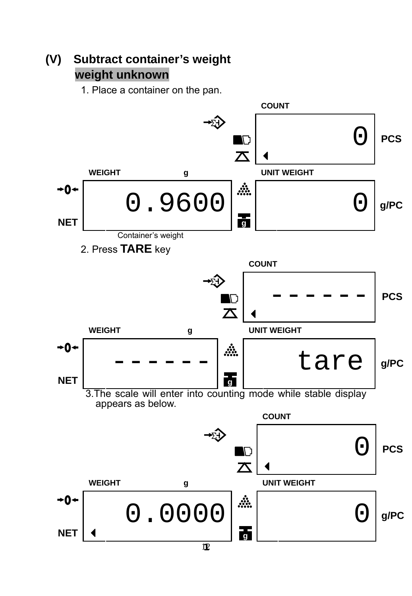## **(V) Subtract container's weight weight unknown**

1. Place a container on the pan.

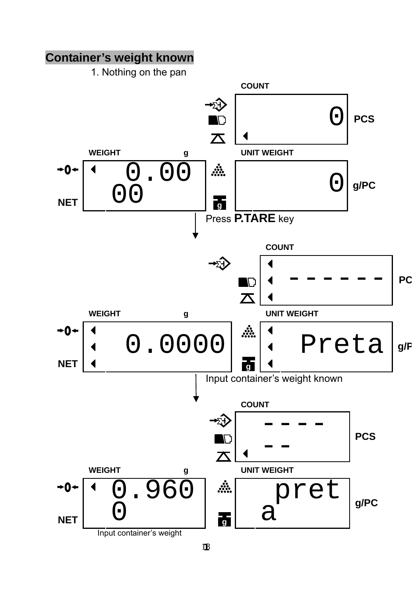#### **Container's weight known**

1. Nothing on the pan

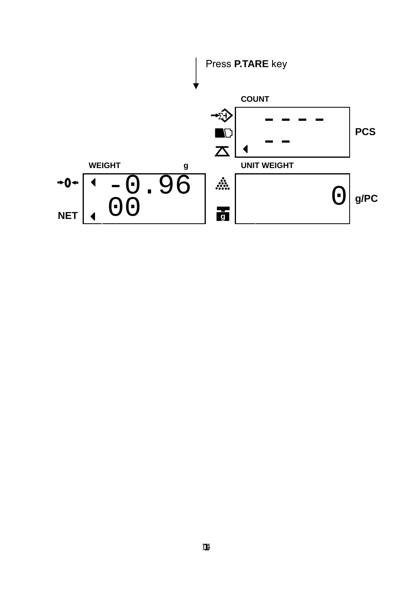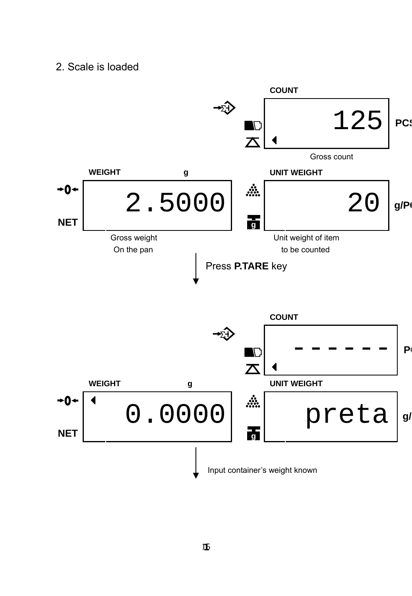#### 2. Scale is loaded

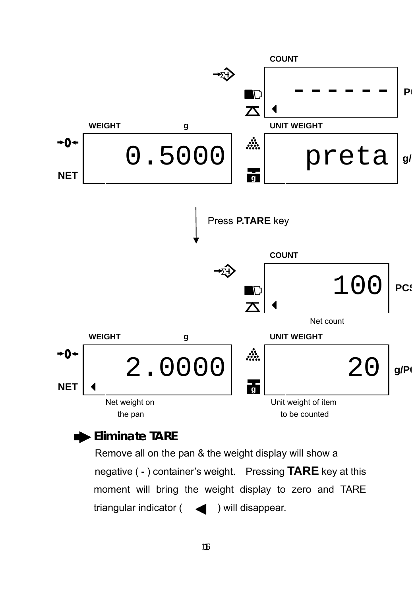

#### **Eliminate TARE**

Remove all on the pan & the weight display will show a negative ( **-** ) container's weight. Pressing **TARE** key at this moment will bring the weight display to zero and TARE triangular indicator  $($   $\blacktriangleleft)$  will disappear.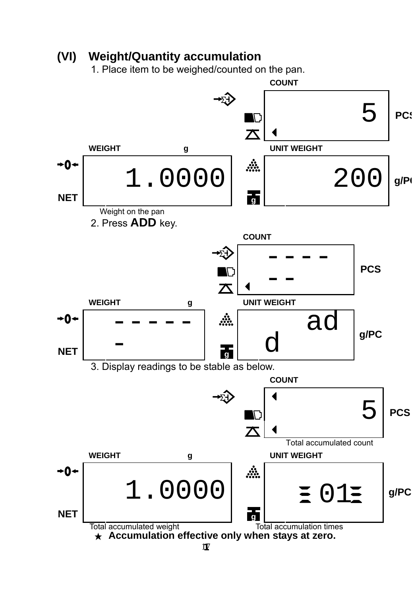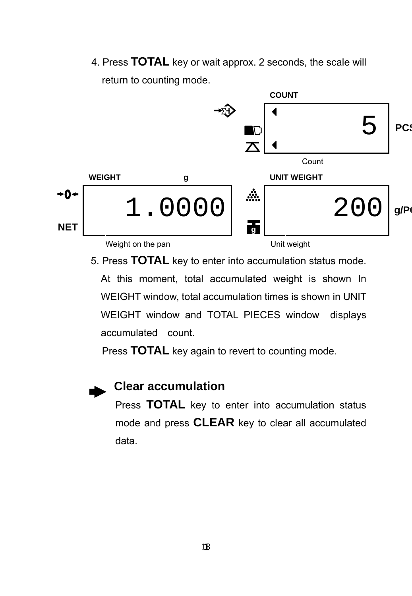4. Press **TOTAL** key or wait approx. 2 seconds, the scale will return to counting mode.



5. Press **TOTAL** key to enter into accumulation status mode. At this moment, total accumulated weight is shown In WEIGHT window, total accumulation times is shown in UNIT WEIGHT window and TOTAL PIECES window displays accumulated count.

Press **TOTAL** key again to revert to counting mode.

#### **Clear accumulation**

Press **TOTAL** key to enter into accumulation status mode and press **CLEAR** key to clear all accumulated data.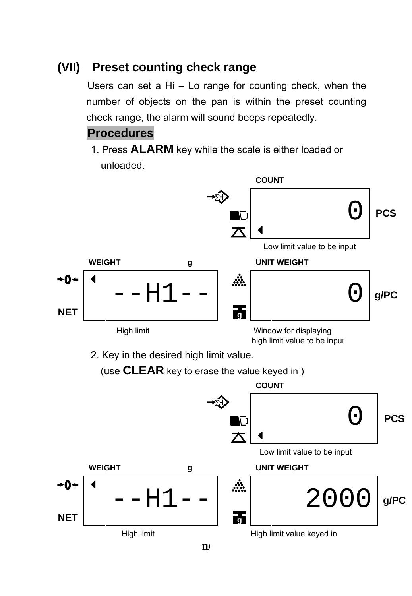#### **(VII) Preset counting check range**

Users can set a Hi – Lo range for counting check, when the number of objects on the pan is within the preset counting check range, the alarm will sound beeps repeatedly.

#### **Procedures**

1. Press **ALARM** key while the scale is either loaded or unloaded.

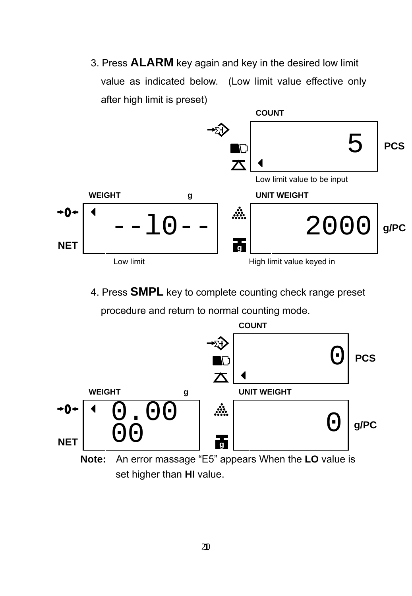3. Press **ALARM** key again and key in the desired low limit value as indicated below. (Low limit value effective only after high limit is preset)



4. Press **SMPL** key to complete counting check range preset





set higher than **HI** value.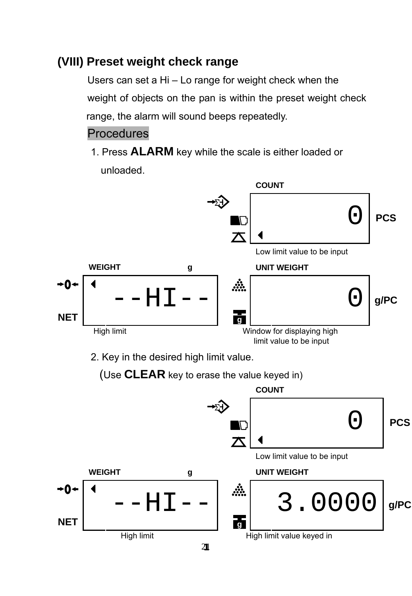#### **(VIII) Preset weight check range**

Users can set a Hi – Lo range for weight check when the weight of objects on the pan is within the preset weight check range, the alarm will sound beeps repeatedly.

#### Procedures

**NET** 

1. Press **ALARM** key while the scale is either loaded or unloaded.



21 **1**

High limit High limit value keyed in **g**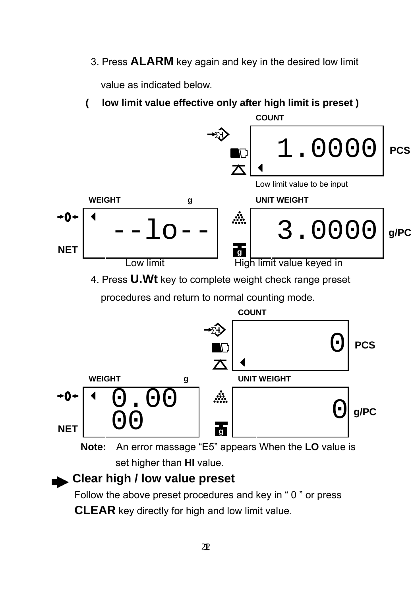3. Press **ALARM** key again and key in the desired low limit

value as indicated below.

**( low limit value effective only after high limit is preset )** 



4. Press **U.Wt** key to complete weight check range preset

procedures and return to normal counting mode.



**Note:** An error massage "E5" appears When the **LO** value is set higher than **HI** value.

#### **Clear high / low value preset**

Follow the above preset procedures and key in " 0 " or press **CLEAR** key directly for high and low limit value.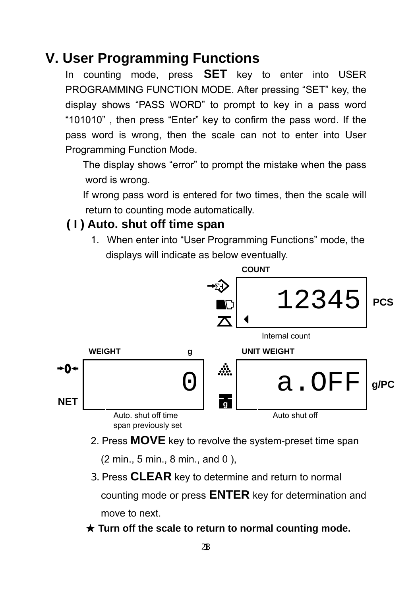## **V. User Programming Functions**

In counting mode, press **SET** key to enter into USER PROGRAMMING FUNCTION MODE. After pressing "SET" key, the display shows "PASS WORD" to prompt to key in a pass word "101010" , then press "Enter" key to confirm the pass word. If the pass word is wrong, then the scale can not to enter into User Programming Function Mode.

The display shows "error" to prompt the mistake when the pass word is wrong.

If wrong pass word is entered for two times, then the scale will return to counting mode automatically.

#### **( I ) Auto. shut off time span**

1. When enter into "User Programming Functions" mode, the displays will indicate as below eventually.



2. Press **MOVE** key to revolve the system-preset time span

(2 min., 5 min., 8 min., and 0 ),

3. Press **CLEAR** key to determine and return to normal

counting mode or press **ENTER** key for determination and move to next.

★ **Turn off the scale to return to normal counting mode.**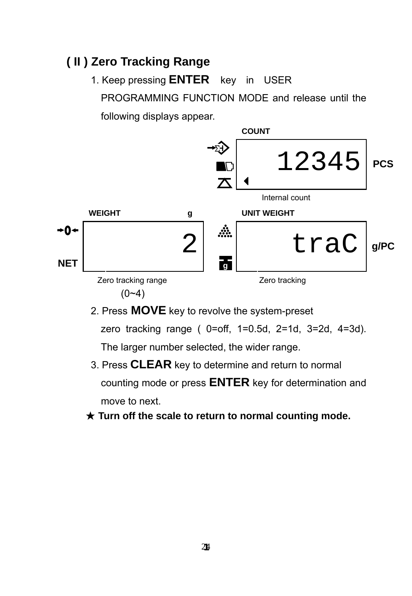#### **( II ) Zero Tracking Range**



- 2. Press **MOVE** key to revolve the system-preset zero tracking range ( 0=off, 1=0.5d, 2=1d, 3=2d, 4=3d). The larger number selected, the wider range.
- 3. Press **CLEAR** key to determine and return to normal counting mode or press **ENTER** key for determination and move to next.
- ★ **Turn off the scale to return to normal counting mode.**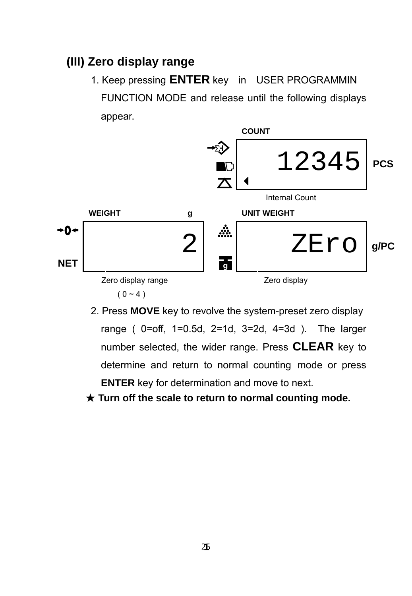#### **(III) Zero display range**



- 2. Press **MOVE** key to revolve the system-preset zero display range ( 0=off, 1=0.5d, 2=1d, 3=2d, 4=3d ). The larger number selected, the wider range. Press **CLEAR** key to determine and return to normal counting mode or press **ENTER** key for determination and move to next.
- ★ **Turn off the scale to return to normal counting mode.**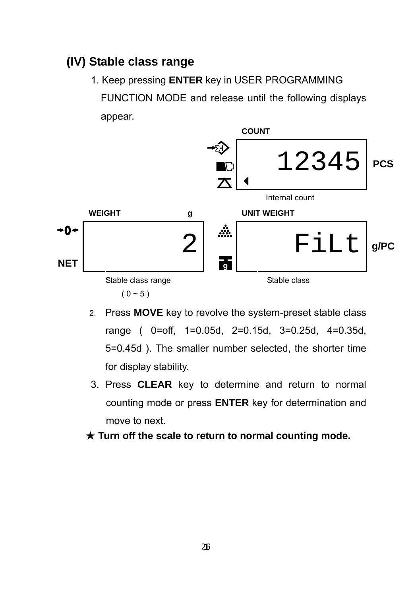#### **(IV) Stable class range**

1. Keep pressing **ENTER** key in USER PROGRAMMING

FUNCTION MODE and release until the following displays appear.



- 2. Press **MOVE** key to revolve the system-preset stable class range ( 0=off, 1=0.05d, 2=0.15d, 3=0.25d, 4=0.35d, 5=0.45d ). The smaller number selected, the shorter time for display stability.
- 3. Press **CLEAR** key to determine and return to normal counting mode or press **ENTER** key for determination and move to next.
- ★ **Turn off the scale to return to normal counting mode.**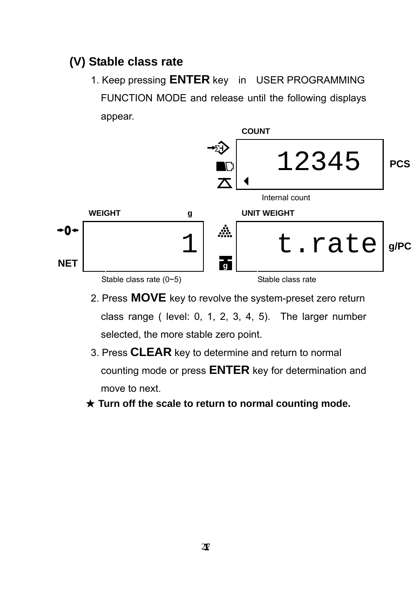## **(V) Stable class rate**



- 2. Press **MOVE** key to revolve the system-preset zero return class range ( level: 0, 1, 2, 3, 4, 5). The larger number selected, the more stable zero point.
- 3. Press **CLEAR** key to determine and return to normal counting mode or press **ENTER** key for determination and move to next.
- ★ **Turn off the scale to return to normal counting mode.**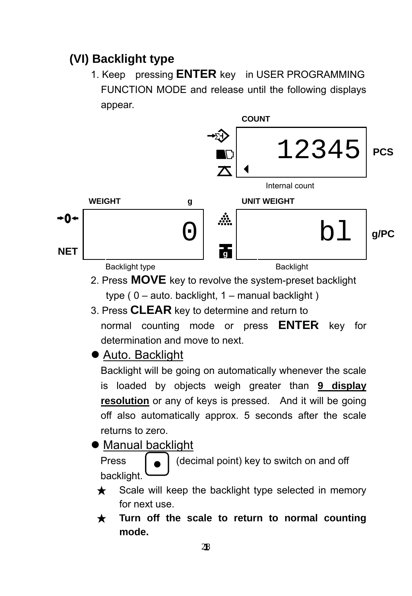## **(VI) Backlight type**

1. Keep pressing **ENTER** key in USER PROGRAMMING FUNCTION MODE and release until the following displays appear.



- 2. Press **MOVE** key to revolve the system-preset backlight type  $(0 - auto. backlight, 1 - manual backlight)$
- 3. Press **CLEAR** key to determine and return to normal counting mode or press **ENTER** key for
	- determination and move to next.
- Auto. Backlight

Backlight will be going on automatically whenever the scale is loaded by objects weigh greater than **9 display resolution** or any of keys is pressed. And it will be going off also automatically approx. 5 seconds after the scale returns to zero.

• Manual backlight

Press  $\left[\begin{array}{c} \bullet \end{array}\right]$  (decimal point) key to switch on and off backlight.

- $\star$  Scale will keep the backlight type selected in memory for next use.
- ★ **Turn off the scale to return to normal counting mode.**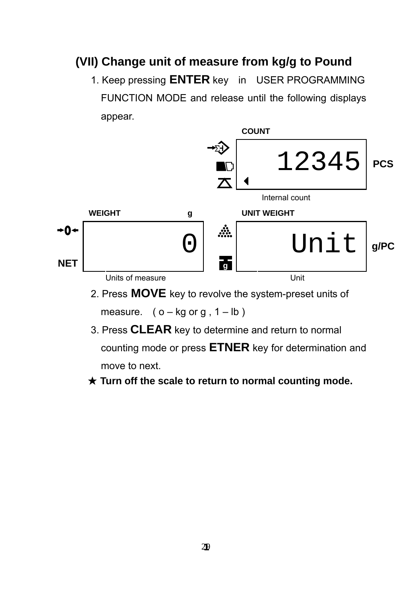#### **(VII) Change unit of measure from kg/g to Pound**

1. Keep pressing **ENTER** key in USER PROGRAMMING FUNCTION MODE and release until the following displays appear.



measure.  $(o - kg or g, 1 - lb)$ 

- 3. Press **CLEAR** key to determine and return to normal counting mode or press **ETNER** key for determination and move to next.
- ★ **Turn off the scale to return to normal counting mode.**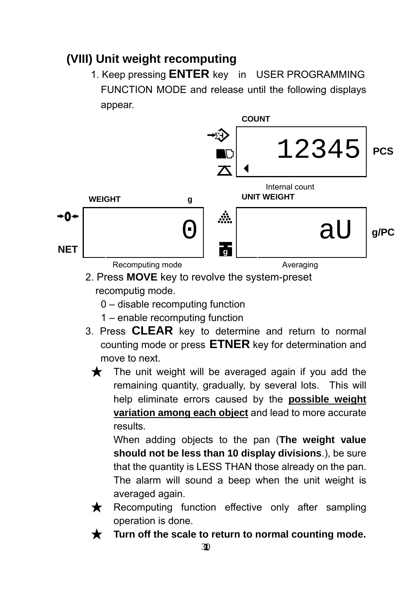## **(VIII) Unit weight recomputing**

1. Keep pressing **ENTER** key in USER PROGRAMMING FUNCTION MODE and release until the following displays appear.



- 2. Press **MOVE** key to revolve the system-preset recomputig mode.
	- 0 disable recomputing function
	- 1 enable recomputing function
- 3. Press **CLEAR** key to determine and return to normal counting mode or press **ETNER** key for determination and move to next.
	- $\bigstar$  The unit weight will be averaged again if you add the remaining quantity, gradually, by several lots. This will help eliminate errors caused by the **possible weight variation among each object** and lead to more accurate results.

When adding objects to the pan (**The weight value should not be less than 10 display divisions**.), be sure that the quantity is LESS THAN those already on the pan. The alarm will sound a beep when the unit weight is averaged again.

- ★ Recomputing function effective only after sampling operation is done.
- Turn off the scale to return to normal counting mode.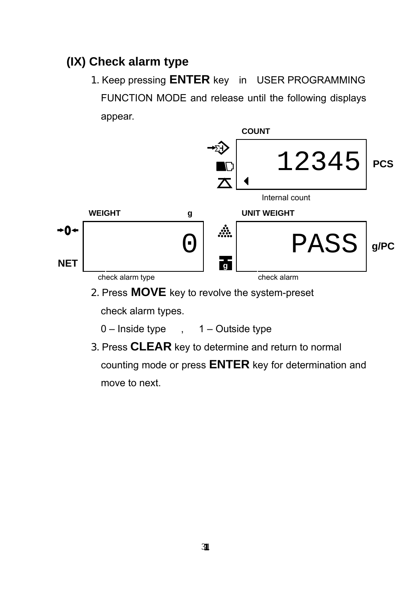## **(IX) Check alarm type**



- $0$  Inside type , 1 Outside type
- 3. Press **CLEAR** key to determine and return to normal counting mode or press **ENTER** key for determination and move to next.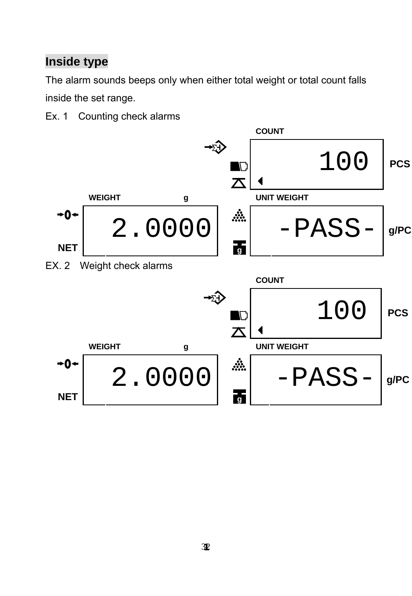## **Inside type**

The alarm sounds beeps only when either total weight or total count falls inside the set range.

Ex. 1 Counting check alarms

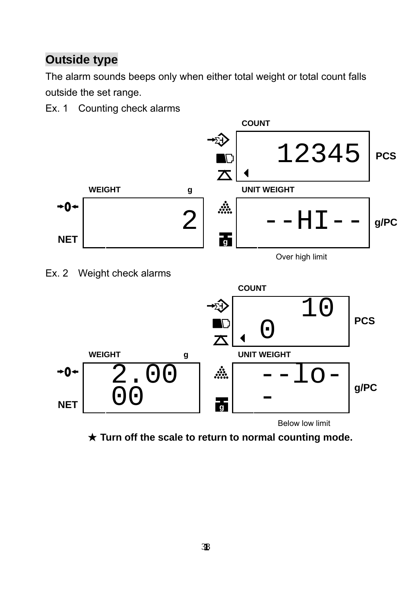## **Outside type**

The alarm sounds beeps only when either total weight or total count falls outside the set range.

Ex. 1 Counting check alarms







★ **Turn off the scale to return to normal counting mode.**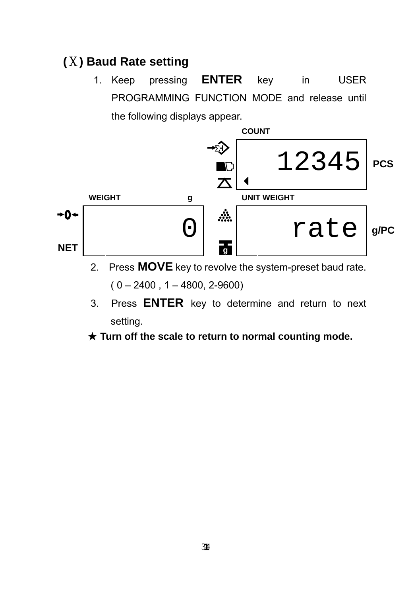## **(**Ⅹ**) Baud Rate setting**

1. Keep pressing **ENTER** key in USER PROGRAMMING FUNCTION MODE and release until the following displays appear.



2. Press **MOVE** key to revolve the system-preset baud rate.

 $(0 - 2400, 1 - 4800, 2-9600)$ 

3. Press **ENTER** key to determine and return to next setting.

#### ★ **Turn off the scale to return to normal counting mode.**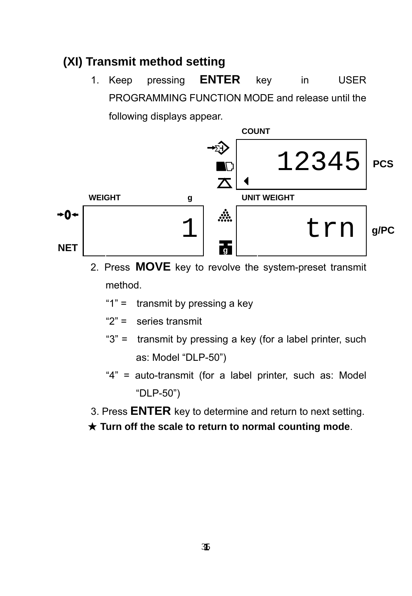#### **(XI) Transmit method setting**



- 2. Press **MOVE** key to revolve the system-preset transmit method.
	- "1" = transmit by pressing a key
	- "2" = series transmit
	- "3" = transmit by pressing a key (for a label printer, such as: Model "DLP-50")
	- "4" = auto-transmit (for a label printer, such as: Model "DLP-50")
- 3. Press **ENTER** key to determine and return to next setting.
- ★ **Turn off the scale to return to normal counting mode**.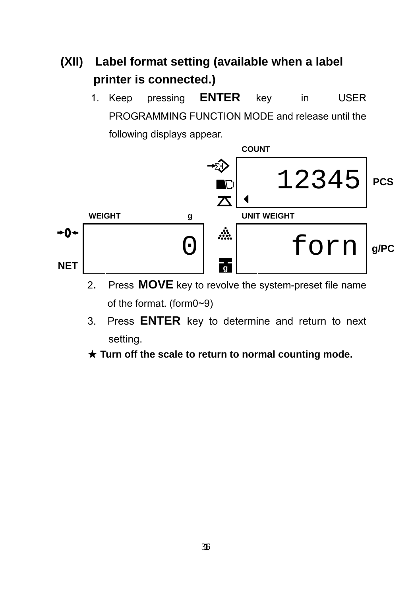## **(XII) Label format setting (available when a label printer is connected.)**



- 2. Press **MOVE** key to revolve the system-preset file name of the format. (form0~9)
- 3. Press **ENTER** key to determine and return to next setting.
- ★ **Turn off the scale to return to normal counting mode.**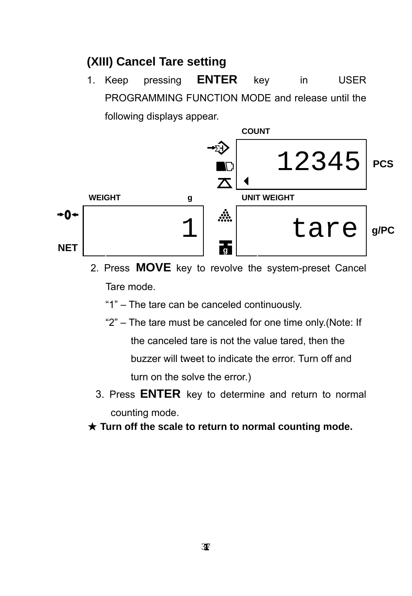#### **(XIII) Cancel Tare setting**



- 2. Press **MOVE** key to revolve the system-preset Cancel Tare mode.
	- "1" The tare can be canceled continuously.
	- "2" The tare must be canceled for one time only.(Note: If the canceled tare is not the value tared, then the buzzer will tweet to indicate the error. Turn off and turn on the solve the error.)
	- 3. Press **ENTER** key to determine and return to normal counting mode.
- ★ **Turn off the scale to return to normal counting mode.**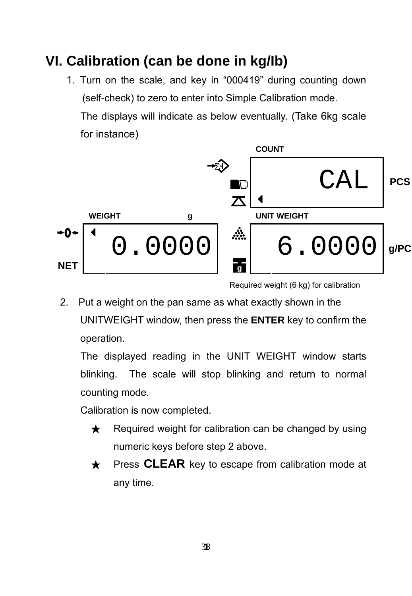# **VI. Calibration (can be done in kg/Ib)**

1. Turn on the scale, and key in "000419" during counting down (self-check) to zero to enter into Simple Calibration mode. The displays will indicate as below eventually. (Take 6kg scale for instance)



Required weight (6 kg) for calibration

2. Put a weight on the pan same as what exactly shown in the UNITWEIGHT window, then press the **ENTER** key to confirm the operation.

The displayed reading in the UNIT WEIGHT window starts blinking. The scale will stop blinking and return to normal counting mode.

Calibration is now completed.

- $\star$  Required weight for calibration can be changed by using numeric keys before step 2 above.
- ★ Press **CLEAR** key to escape from calibration mode at any time.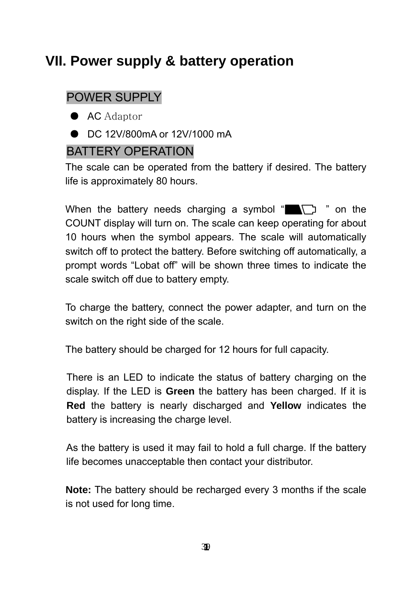# **VII. Power supply & battery operation**

### POWER SUPPLY

- AC Adaptor
- DC 12V/800mA or 12V/1000 mA

#### BATTERY OPERATION

The scale can be operated from the battery if desired. The battery life is approximately 80 hours.

When the battery needs charging a symbol " $\blacksquare$ " on the COUNT display will turn on. The scale can keep operating for about 10 hours when the symbol appears. The scale will automatically switch off to protect the battery. Before switching off automatically, a prompt words "Lobat off" will be shown three times to indicate the scale switch off due to battery empty.

To charge the battery, connect the power adapter, and turn on the switch on the right side of the scale.

The battery should be charged for 12 hours for full capacity.

There is an LED to indicate the status of battery charging on the display. If the LED is **Green** the battery has been charged. If it is **Red** the battery is nearly discharged and **Yellow** indicates the battery is increasing the charge level.

As the battery is used it may fail to hold a full charge. If the battery life becomes unacceptable then contact your distributor.

**Note:** The battery should be recharged every 3 months if the scale is not used for long time.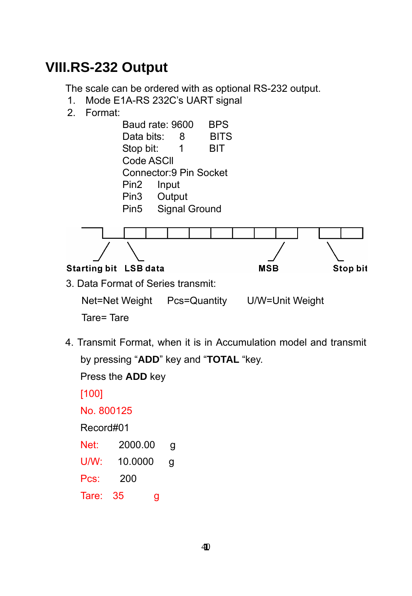## **VIII.RS-232 Output**

The scale can be ordered with as optional RS-232 output.

- 1. Mode E1A-RS 232C's UART signal
- 2. Format:



4. Transmit Format, when it is in Accumulation model and transmit by pressing "**ADD**" key and "**TOTAL** "key.

 Press the **ADD** key [100] No. 800125 Record#01 Net: 2000.00 g U/W: 10.0000 g Pcs: 200

Tare: 35 g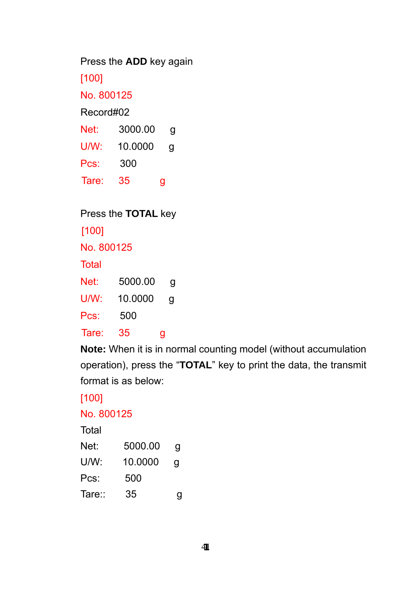Press the **ADD** key again

[100]

No. 800125

Record#02

| Net:  | 3000.00 | g |
|-------|---------|---|
| U/W:  | 10.0000 | g |
| Pcs:  | 300     |   |
| Tare: | 35      | g |

Press the **TOTAL** key

[100]

No. 800125

Total

Net: 5000.00 g

U/W: 10.0000 g

Pcs: 500

Tare: 35 g

 **Note:** When it is in normal counting model (without accumulation operation), press the "**TOTAL**" key to print the data, the transmit format is as below:

[100]

No. 800125

**Total** 

| Net:  | 5000.00 | g |
|-------|---------|---|
| U/W:  | 10.0000 | a |
| Pcs:  | 500     |   |
| Tare∷ | 35      | g |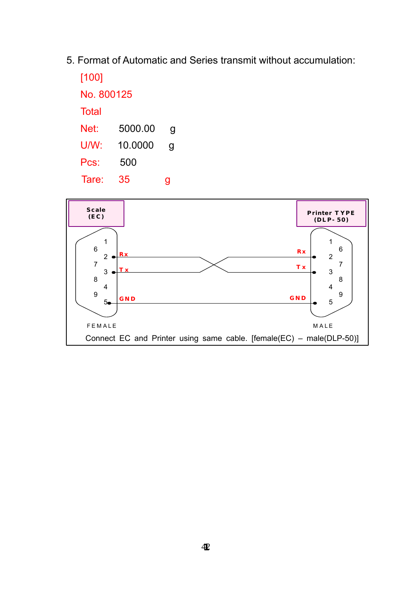5. Format of Automatic and Series transmit without accumulation:

| [100]      |         |   |
|------------|---------|---|
| No. 800125 |         |   |
| Total      |         |   |
| Net:       | 5000.00 | g |
| U/W:       | 10.0000 | g |
| Pcs:       | 500     |   |
| Tare:      | 35      | g |

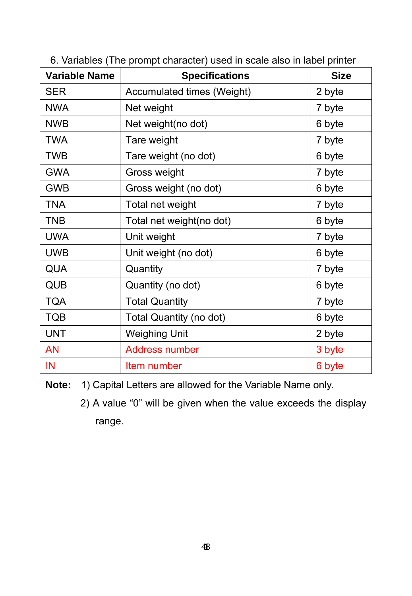| <b>Variable Name</b> | <b>Specifications</b>      | <b>Size</b> |
|----------------------|----------------------------|-------------|
| <b>SER</b>           | Accumulated times (Weight) | 2 byte      |
| <b>NWA</b>           | Net weight                 | 7 byte      |
| <b>NWB</b>           | Net weight(no dot)         | 6 byte      |
| <b>TWA</b>           | Tare weight                | 7 byte      |
| <b>TWB</b>           | Tare weight (no dot)       | 6 byte      |
| <b>GWA</b>           | Gross weight               | 7 byte      |
| <b>GWB</b>           | Gross weight (no dot)      | 6 byte      |
| <b>TNA</b>           | Total net weight           | 7 byte      |
| TNB                  | Total net weight(no dot)   | 6 byte      |
| <b>UWA</b>           | Unit weight                | 7 byte      |
| <b>UWB</b>           | Unit weight (no dot)       | 6 byte      |
| QUA                  | Quantity                   | 7 byte      |
| QUB                  | Quantity (no dot)          | 6 byte      |
| <b>TQA</b>           | <b>Total Quantity</b>      | 7 byte      |
| <b>TQB</b>           | Total Quantity (no dot)    | 6 byte      |
| <b>UNT</b>           | <b>Weighing Unit</b>       | 2 byte      |
| AN                   | Address number             | 3 byte      |
| IN                   | Item number                | 6 byte      |

6. Variables (The prompt character) used in scale also in label printer

**Note:** 1) Capital Letters are allowed for the Variable Name only.

 2) A value "0" will be given when the value exceeds the display range.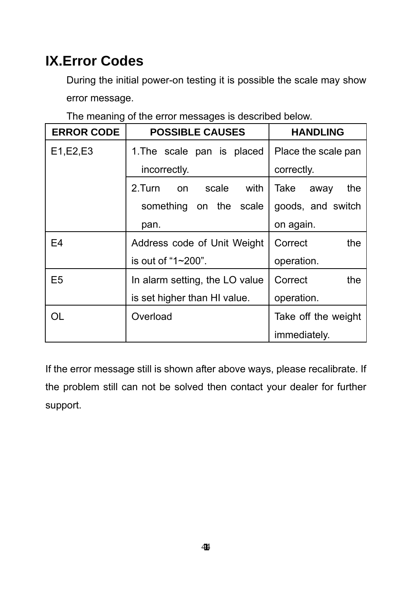# **IX.Error Codes**

During the initial power-on testing it is possible the scale may show error message.

The meaning of the error messages is described below.

| <b>ERROR CODE</b> | <b>POSSIBLE CAUSES</b>         | <b>HANDLING</b>     |  |
|-------------------|--------------------------------|---------------------|--|
| E1, E2, E3        | 1. The scale pan is placed     | Place the scale pan |  |
|                   | incorrectly.                   | correctly.          |  |
|                   | 2. Turn<br>scale<br>with<br>on | Take<br>the<br>away |  |
|                   | something on the scale         | goods, and switch   |  |
|                   | pan.                           | on again.           |  |
| F4                | Address code of Unit Weight    | the<br>Correct      |  |
|                   | is out of "1 $\sim$ 200".      | operation.          |  |
| E5                | In alarm setting, the LO value | Correct<br>the      |  |
|                   | is set higher than HI value.   | operation.          |  |
| OL                | Overload                       | Take off the weight |  |
|                   |                                | immediately.        |  |

If the error message still is shown after above ways, please recalibrate. If the problem still can not be solved then contact your dealer for further support.